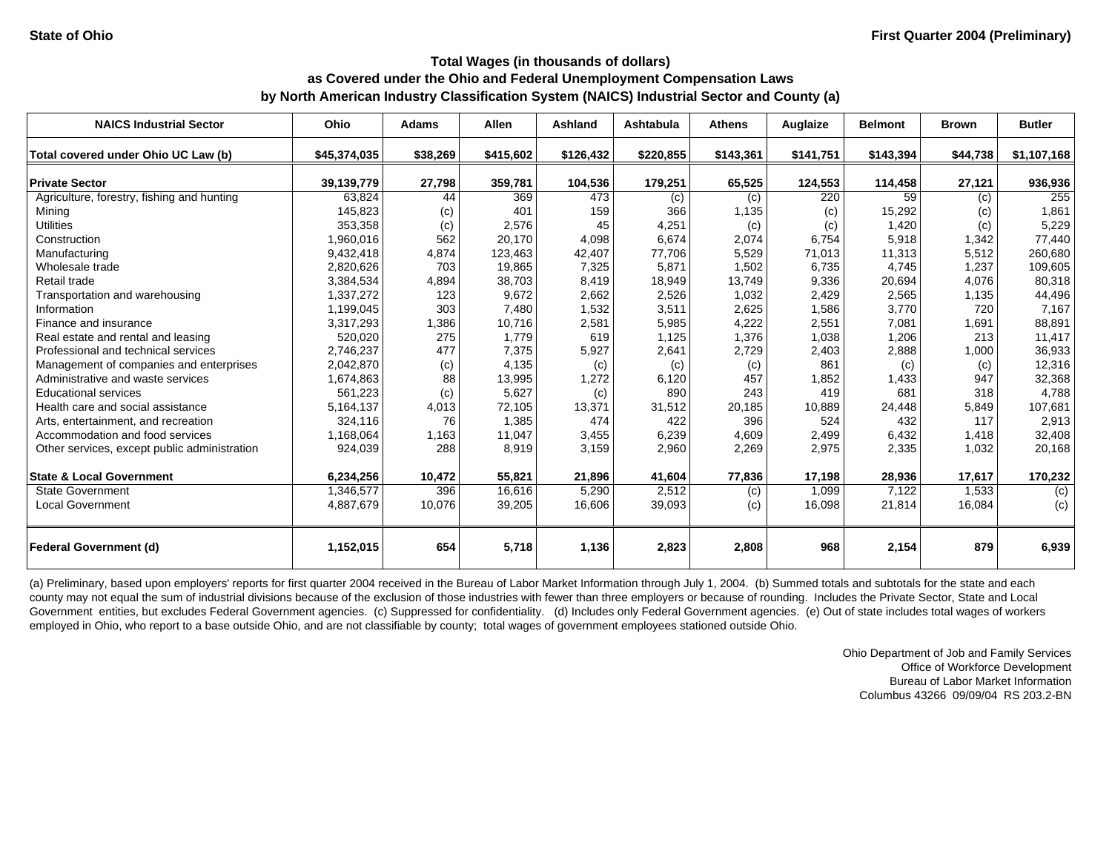| <b>NAICS Industrial Sector</b>               | Ohio         | <b>Adams</b> | <b>Allen</b> | Ashland   | Ashtabula  | <b>Athens</b> | Auglaize  | <b>Belmont</b> | <b>Brown</b> | <b>Butler</b> |
|----------------------------------------------|--------------|--------------|--------------|-----------|------------|---------------|-----------|----------------|--------------|---------------|
| Total covered under Ohio UC Law (b)          | \$45,374,035 | \$38,269     | \$415,602    | \$126,432 | \$220,855  | \$143,361     | \$141,751 | \$143,394      | \$44,738     | \$1,107,168   |
| <b>Private Sector</b>                        | 39,139,779   | 27,798       | 359,781      | 104,536   | 179,251    | 65,525        | 124,553   | 114,458        | 27,121       | 936,936       |
| Agriculture, forestry, fishing and hunting   | 63,824       | 44           | 369          | 473       |            | (c)           | 220       | 59             | (c)          | 255           |
| Mining                                       | 145,823      | (c)          | 401          | 159       | (c)<br>366 | 1,135         | (c)       | 15,292         | (c)          | 1,861         |
| <b>Utilities</b>                             | 353,358      | (c)          | 2,576        | 45        | 4,251      | (c)           | (c)       | 1,420          | (c)          | 5,229         |
| Construction                                 | 1,960,016    | 562          | 20,170       | 4,098     | 6,674      | 2,074         | 6,754     | 5,918          | 1,342        | 77,440        |
| Manufacturing                                | 9,432,418    | 4,874        | 123,463      | 42,407    | 77,706     | 5,529         | 71,013    | 11,313         | 5,512        | 260,680       |
| Wholesale trade                              | 2,820,626    | 703          | 19,865       | 7,325     | 5,871      | 1,502         | 6,735     | 4,745          | 1,237        | 109,605       |
| Retail trade                                 | 3,384,534    | 4,894        | 38,703       | 8,419     | 18,949     | 13,749        | 9,336     | 20,694         | 4,076        | 80,318        |
| Transportation and warehousing               | 1,337,272    | 123          | 9,672        | 2,662     | 2,526      | 1,032         | 2,429     | 2,565          | 1,135        | 44,496        |
| Information                                  | 1,199,045    | 303          | 7,480        | 1,532     | 3,511      | 2,625         | 1,586     | 3,770          | 720          | 7,167         |
| Finance and insurance                        | 3,317,293    | 1,386        | 10,716       | 2,581     | 5,985      | 4,222         | 2,551     | 7,081          | 1,691        | 88,891        |
| Real estate and rental and leasing           | 520,020      | 275          | 1,779        | 619       | 1,125      | 1,376         | 1,038     | 1,206          | 213          | 11,417        |
| Professional and technical services          | 2,746,237    | 477          | 7,375        | 5,927     | 2,641      | 2,729         | 2,403     | 2,888          | 1,000        | 36,933        |
| Management of companies and enterprises      | 2,042,870    | (c)          | 4,135        | (c)       | (c)        | (c)           | 861       | (c)            | (c)          | 12,316        |
| Administrative and waste services            | 1,674,863    | 88           | 13,995       | 1,272     | 6,120      | 457           | 1,852     | 1,433          | 947          | 32,368        |
| <b>Educational services</b>                  | 561,223      | (c)          | 5,627        | (c)       | 890        | 243           | 419       | 681            | 318          | 4,788         |
| Health care and social assistance            | 5,164,137    | 4,013        | 72,105       | 13,371    | 31,512     | 20,185        | 10,889    | 24,448         | 5,849        | 107,681       |
| Arts, entertainment, and recreation          | 324,116      | 76           | 1,385        | 474       | 422        | 396           | 524       | 432            | 117          | 2,913         |
| Accommodation and food services              | 1,168,064    | 1,163        | 11,047       | 3,455     | 6,239      | 4,609         | 2,499     | 6,432          | 1,418        | 32,408        |
| Other services, except public administration | 924,039      | 288          | 8,919        | 3,159     | 2,960      | 2,269         | 2,975     | 2,335          | 1,032        | 20,168        |
|                                              |              |              |              |           |            |               |           |                |              |               |
| <b>State &amp; Local Government</b>          | 6,234,256    | 10,472       | 55,821       | 21,896    | 41,604     | 77,836        | 17,198    | 28,936         | 17,617       | 170,232       |
| <b>State Government</b>                      | 1,346,577    | 396          | 16,616       | 5,290     | 2,512      | (c)           | 1,099     | 7,122          | 1,533        | (c)           |
| <b>Local Government</b>                      | 4,887,679    | 10,076       | 39,205       | 16,606    | 39,093     | (c)           | 16,098    | 21,814         | 16,084       | (c)           |
|                                              |              |              |              |           |            |               |           |                |              |               |
| <b>Federal Government (d)</b>                | 1,152,015    | 654          | 5,718        | 1,136     | 2,823      | 2,808         | 968       | 2,154          | 879          | 6,939         |

(a) Preliminary, based upon employers' reports for first quarter 2004 received in the Bureau of Labor Market Information through July 1, 2004. (b) Summed totals and subtotals for the state and each county may not equal the sum of industrial divisions because of the exclusion of those industries with fewer than three employers or because of rounding. Includes the Private Sector, State and Local Government entities, but excludes Federal Government agencies. (c) Suppressed for confidentiality. (d) Includes only Federal Government agencies. (e) Out of state includes total wages of workers employed in Ohio, who report to a base outside Ohio, and are not classifiable by county; total wages of government employees stationed outside Ohio.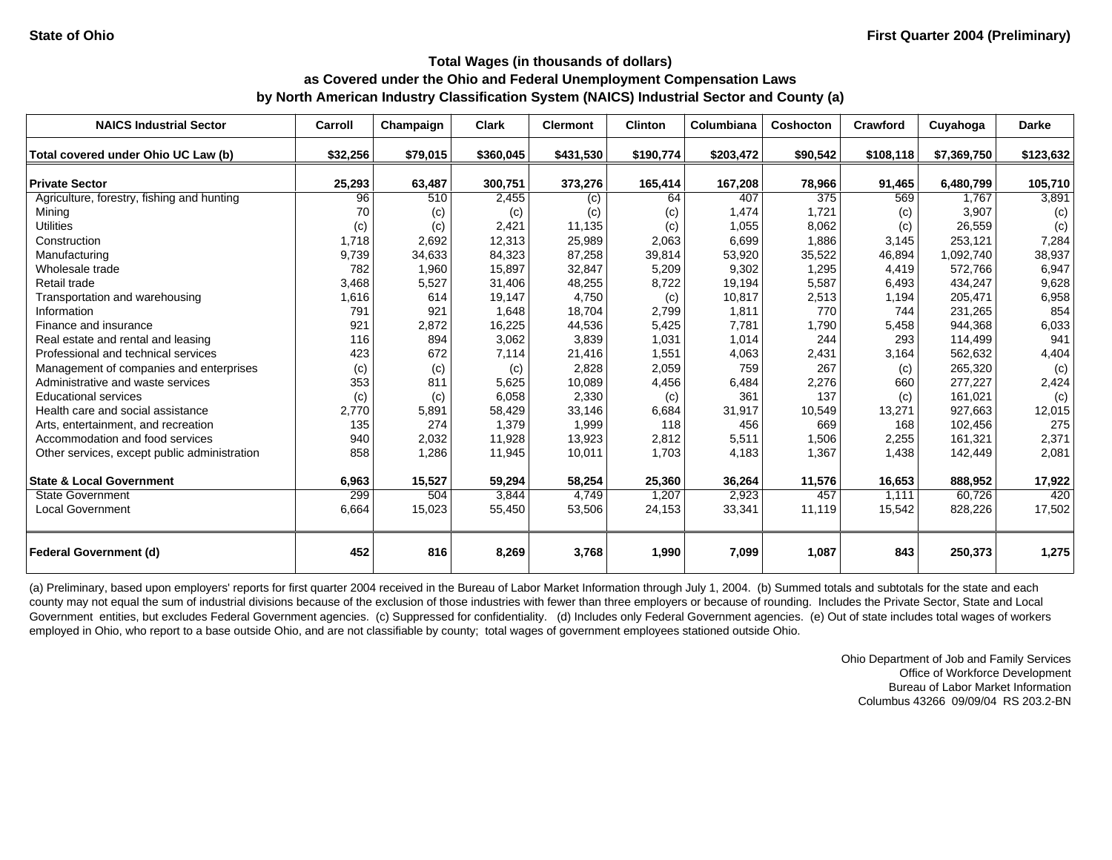| <b>NAICS Industrial Sector</b>                | Carroll      | Champaign       | <b>Clark</b>     | <b>Clermont</b>  | <b>Clinton</b>  | Columbiana       | Coshocton       | Crawford        | Cuyahoga             | <b>Darke</b>    |
|-----------------------------------------------|--------------|-----------------|------------------|------------------|-----------------|------------------|-----------------|-----------------|----------------------|-----------------|
| Total covered under Ohio UC Law (b)           | \$32,256     | \$79,015        | \$360,045        | \$431,530        | \$190,774       | \$203,472        | \$90,542        | \$108,118       | \$7,369,750          | \$123,632       |
| <b>Private Sector</b>                         |              |                 | 300,751          |                  |                 |                  |                 |                 | 6,480,799            |                 |
|                                               | 25,293<br>96 | 63,487<br>510   | 2,455            | 373,276          | 165,414<br>64   | 167,208<br>407   | 78,966<br>375   | 91,465<br>569   | 1,767                | 105,710         |
| Agriculture, forestry, fishing and hunting    | 70           |                 |                  | (c)              |                 | 1,474            | 1.721           |                 | 3.907                | 3,891           |
| Mining<br><b>Utilities</b>                    |              | (c)             | (c)<br>2,421     | (c)<br>11,135    | (c)             | 1,055            | 8,062           | (c)             | 26,559               | (c)             |
|                                               | (c)<br>1.718 | (c)<br>2,692    |                  | 25,989           | (c)             |                  | 1,886           | (c)<br>3,145    |                      | (c)<br>7,284    |
| Construction                                  |              |                 | 12,313           |                  | 2,063           | 6,699            |                 |                 | 253,121              |                 |
| Manufacturing<br>Wholesale trade              | 9,739<br>782 | 34,633<br>1,960 | 84,323<br>15,897 | 87,258<br>32,847 | 39,814<br>5,209 | 53,920<br>9,302  | 35,522<br>1,295 | 46,894<br>4,419 | 1,092,740<br>572,766 | 38,937<br>6,947 |
| Retail trade                                  | 3,468        |                 | 31,406           | 48,255           | 8,722           |                  | 5,587           | 6,493           | 434,247              |                 |
|                                               | 1,616        | 5,527<br>614    | 19,147           | 4,750            |                 | 19,194<br>10,817 |                 |                 | 205,471              | 9,628           |
| Transportation and warehousing<br>Information | 791          |                 |                  |                  | (c)             |                  | 2,513<br>770    | 1,194           |                      | 6,958           |
|                                               |              | 921             | 1,648            | 18,704           | 2,799           | 1,811            |                 | 744             | 231,265              | 854             |
| Finance and insurance                         | 921          | 2,872           | 16,225           | 44,536           | 5,425           | 7,781            | 1,790           | 5,458           | 944,368              | 6,033           |
| Real estate and rental and leasing            | 116          | 894             | 3,062            | 3,839            | 1,031           | 1,014            | 244             | 293             | 114,499              | 941             |
| Professional and technical services           | 423          | 672             | 7,114            | 21,416           | 1,551           | 4,063            | 2,431           | 3,164           | 562,632              | 4,404           |
| Management of companies and enterprises       | (c)          | (c)             | (c)              | 2,828            | 2,059           | 759              | 267             | (c)             | 265,320              | (c)             |
| Administrative and waste services             | 353          | 811             | 5,625            | 10,089           | 4,456           | 6,484            | 2,276           | 660             | 277,227              | 2,424           |
| <b>Educational services</b>                   | (c)          | (c)             | 6,058            | 2,330            | (c)             | 361              | 137             | (c)             | 161.021              | (c)             |
| Health care and social assistance             | 2,770        | 5,891           | 58,429           | 33,146           | 6,684           | 31,917           | 10,549          | 13,271          | 927.663              | 12,015          |
| Arts, entertainment, and recreation           | 135          | 274             | 1,379            | 1,999            | 118             | 456              | 669             | 168             | 102,456              | 275             |
| Accommodation and food services               | 940          | 2,032           | 11,928           | 13,923           | 2,812           | 5,511            | 1,506           | 2,255           | 161,321              | 2,371           |
| Other services, except public administration  | 858          | 1,286           | 11,945           | 10,011           | 1,703           | 4,183            | 1,367           | 1,438           | 142,449              | 2,081           |
| <b>State &amp; Local Government</b>           | 6,963        | 15,527          | 59,294           | 58,254           | 25,360          | 36,264           | 11,576          | 16,653          | 888,952              | 17,922          |
| <b>State Government</b>                       | 299          | 504             | 3,844            | 4,749            | 1,207           | 2,923            | 457             | 1.111           | 60,726               | 420             |
| <b>Local Government</b>                       | 6,664        | 15,023          | 55,450           | 53,506           | 24,153          | 33,341           | 11,119          | 15,542          | 828,226              | 17,502          |
|                                               |              |                 |                  |                  |                 |                  |                 |                 |                      |                 |
| <b>Federal Government (d)</b>                 | 452          | 816             | 8,269            | 3,768            | 1,990           | 7,099            | 1,087           | 843             | 250,373              | 1,275           |

(a) Preliminary, based upon employers' reports for first quarter 2004 received in the Bureau of Labor Market Information through July 1, 2004. (b) Summed totals and subtotals for the state and each county may not equal the sum of industrial divisions because of the exclusion of those industries with fewer than three employers or because of rounding. Includes the Private Sector, State and Local Government entities, but excludes Federal Government agencies. (c) Suppressed for confidentiality. (d) Includes only Federal Government agencies. (e) Out of state includes total wages of workers employed in Ohio, who report to a base outside Ohio, and are not classifiable by county; total wages of government employees stationed outside Ohio.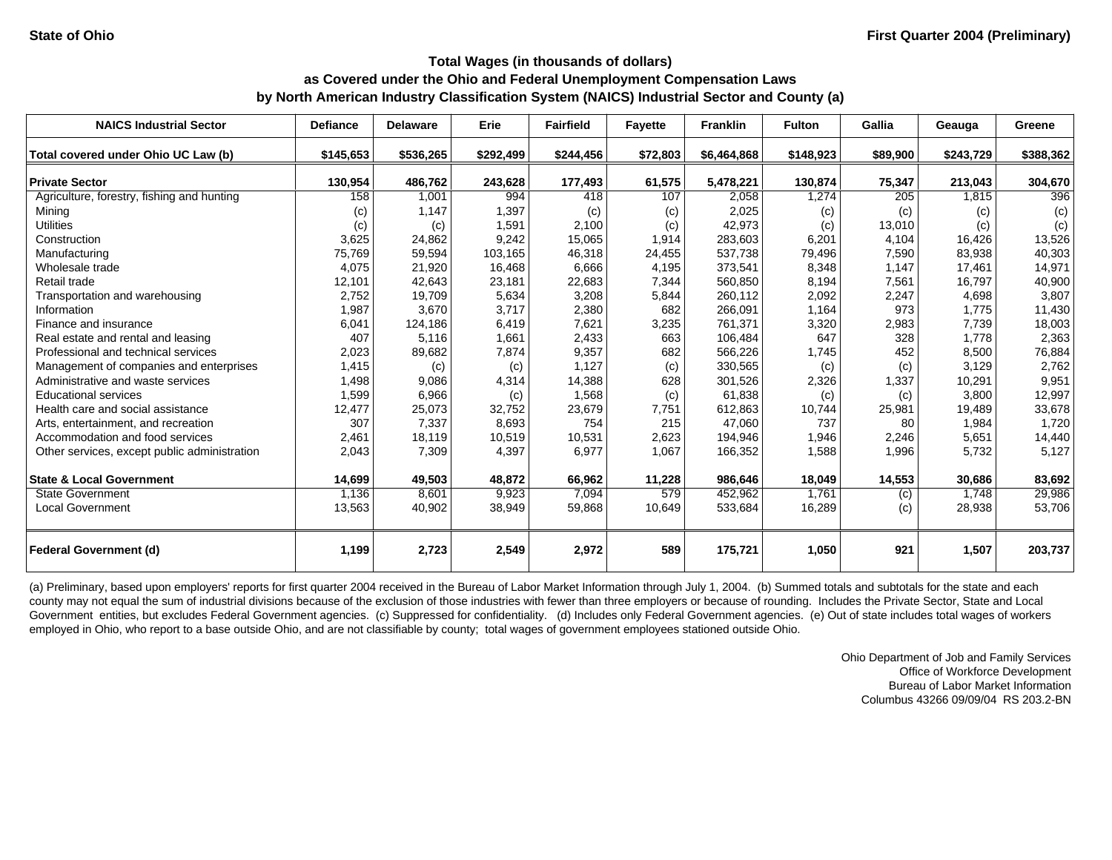| <b>NAICS Industrial Sector</b>               | <b>Defiance</b> | <b>Delaware</b> | Erie      | <b>Fairfield</b> | <b>Fayette</b> | <b>Franklin</b> | <b>Fulton</b> | Gallia   | Geauga    | Greene    |
|----------------------------------------------|-----------------|-----------------|-----------|------------------|----------------|-----------------|---------------|----------|-----------|-----------|
| Total covered under Ohio UC Law (b)          | \$145,653       | \$536,265       | \$292,499 | \$244,456        | \$72,803       | \$6,464,868     | \$148,923     | \$89,900 | \$243,729 | \$388,362 |
| <b>Private Sector</b>                        | 130,954         | 486,762         | 243,628   | 177,493          | 61,575         | 5,478,221       | 130,874       | 75,347   | 213,043   | 304,670   |
| Agriculture, forestry, fishing and hunting   | 158             | 1,001           | 994       | 418              | 107            | 2,058           | 1,274         | 205      | 1,815     | 396       |
| Mining                                       | (c)             | 1,147           | 1,397     | (c)              | (c)            | 2,025           | (c)           | (c)      | (c)       | (c)       |
| <b>Utilities</b>                             | (c)             | (c)             | 1,591     | 2.100            | (c)            | 42,973          | (c)           | 13,010   | (c)       | (c)       |
| Construction                                 | 3,625           | 24,862          | 9,242     | 15,065           | 1,914          | 283,603         | 6,201         | 4,104    | 16.426    | 13,526    |
| Manufacturing                                | 75,769          | 59,594          | 103,165   | 46,318           | 24,455         | 537,738         | 79,496        | 7,590    | 83,938    | 40,303    |
| Wholesale trade                              | 4,075           | 21,920          | 16,468    | 6,666            | 4,195          | 373,541         | 8,348         | 1,147    | 17.461    | 14,971    |
| Retail trade                                 | 12,101          | 42,643          | 23,181    | 22,683           | 7,344          | 560,850         | 8,194         | 7,561    | 16,797    | 40,900    |
| Transportation and warehousing               | 2,752           | 19,709          | 5,634     | 3,208            | 5,844          | 260,112         | 2,092         | 2,247    | 4,698     | 3,807     |
| Information                                  | 1,987           | 3,670           | 3,717     | 2,380            | 682            | 266,091         | 1,164         | 973      | 1,775     | 11,430    |
| Finance and insurance                        | 6,041           | 124,186         | 6,419     | 7,621            | 3,235          | 761,371         | 3,320         | 2,983    | 7,739     | 18,003    |
| Real estate and rental and leasing           | 407             | 5,116           | 1,661     | 2,433            | 663            | 106,484         | 647           | 328      | 1,778     | 2,363     |
| Professional and technical services          | 2,023           | 89,682          | 7,874     | 9,357            | 682            | 566,226         | 1,745         | 452      | 8,500     | 76,884    |
| Management of companies and enterprises      | 1,415           | (c)             | (c)       | 1,127            | (c)            | 330,565         | (c)           | (c)      | 3,129     | 2,762     |
| Administrative and waste services            | 1,498           | 9,086           | 4,314     | 14,388           | 628            | 301,526         | 2,326         | 1,337    | 10,291    | 9,951     |
| <b>Educational services</b>                  | 1,599           | 6,966           | (c)       | 1,568            | (c)            | 61,838          | (c)           | (c)      | 3,800     | 12,997    |
| Health care and social assistance            | 12,477          | 25,073          | 32,752    | 23,679           | 7,751          | 612,863         | 10,744        | 25,981   | 19,489    | 33,678    |
| Arts, entertainment, and recreation          | 307             | 7,337           | 8,693     | 754              | 215            | 47,060          | 737           | 80       | 1,984     | 1,720     |
| Accommodation and food services              | 2,461           | 18,119          | 10,519    | 10,531           | 2,623          | 194,946         | 1,946         | 2,246    | 5,651     | 14,440    |
| Other services, except public administration | 2,043           | 7,309           | 4,397     | 6,977            | 1,067          | 166,352         | 1,588         | 1,996    | 5,732     | 5,127     |
| <b>State &amp; Local Government</b>          | 14,699          | 49,503          | 48,872    | 66.962           | 11,228         | 986,646         | 18,049        | 14,553   | 30,686    | 83,692    |
| <b>State Government</b>                      | 1,136           | 8,601           | 9,923     | 7,094            | 579            | 452,962         | 1.761         | (c)      | 1.748     | 29,986    |
| <b>Local Government</b>                      | 13,563          | 40,902          | 38,949    | 59,868           | 10,649         | 533,684         | 16,289        | (c)      | 28,938    | 53,706    |
| <b>Federal Government (d)</b>                | 1,199           | 2,723           | 2,549     | 2,972            | 589            | 175,721         | 1,050         | 921      | 1,507     | 203,737   |

(a) Preliminary, based upon employers' reports for first quarter 2004 received in the Bureau of Labor Market Information through July 1, 2004. (b) Summed totals and subtotals for the state and each county may not equal the sum of industrial divisions because of the exclusion of those industries with fewer than three employers or because of rounding. Includes the Private Sector, State and Local Government entities, but excludes Federal Government agencies. (c) Suppressed for confidentiality. (d) Includes only Federal Government agencies. (e) Out of state includes total wages of workers employed in Ohio, who report to a base outside Ohio, and are not classifiable by county; total wages of government employees stationed outside Ohio.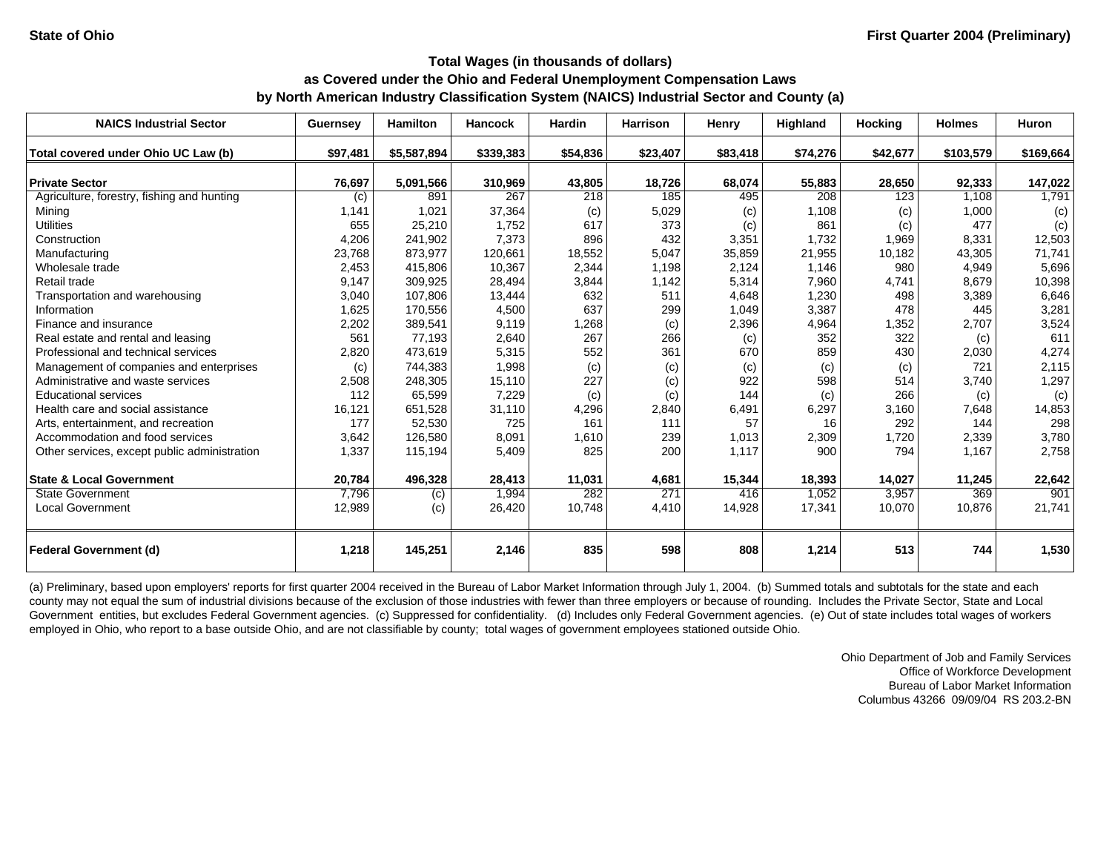| <b>NAICS Industrial Sector</b>               | Guernsey | <b>Hamilton</b> | <b>Hancock</b> | <b>Hardin</b> | <b>Harrison</b> | Henry    | <b>Highland</b> | <b>Hocking</b> | <b>Holmes</b> | <b>Huron</b> |
|----------------------------------------------|----------|-----------------|----------------|---------------|-----------------|----------|-----------------|----------------|---------------|--------------|
| Total covered under Ohio UC Law (b)          | \$97,481 | \$5,587,894     | \$339,383      | \$54,836      | \$23,407        | \$83,418 | \$74,276        | \$42,677       | \$103,579     | \$169,664    |
|                                              |          |                 |                |               |                 |          |                 |                |               |              |
| <b>Private Sector</b>                        | 76,697   | 5,091,566       | 310,969        | 43,805        | 18,726          | 68,074   | 55,883          | 28,650         | 92,333        | 147,022      |
| Agriculture, forestry, fishing and hunting   | (c)      | 891             | 267            | 218           | 185             | 495      | 208             | 123            | 1,108         | 1,791        |
| Mining                                       | 1,141    | 1,021           | 37,364         | (c)           | 5,029           | (c)      | 1,108           | (c)            | 1,000         | (c)          |
| <b>Utilities</b>                             | 655      | 25,210          | 1.752          | 617           | 373             | (c)      | 861             | (c)            | 477           | (c)          |
| Construction                                 | 4,206    | 241,902         | 7,373          | 896           | 432             | 3,351    | 1.732           | 1,969          | 8.331         | 12,503       |
| Manufacturing                                | 23,768   | 873,977         | 120,661        | 18,552        | 5,047           | 35,859   | 21,955          | 10,182         | 43,305        | 71,741       |
| Wholesale trade                              | 2.453    | 415,806         | 10,367         | 2,344         | 1,198           | 2,124    | 1,146           | 980            | 4,949         | 5,696        |
| Retail trade                                 | 9,147    | 309,925         | 28,494         | 3,844         | 1,142           | 5,314    | 7,960           | 4,741          | 8,679         | 10,398       |
| Transportation and warehousing               | 3,040    | 107,806         | 13,444         | 632           | 511             | 4,648    | 1,230           | 498            | 3,389         | 6,646        |
| Information                                  | 1,625    | 170,556         | 4,500          | 637           | 299             | 1,049    | 3,387           | 478            | 445           | 3,281        |
| Finance and insurance                        | 2,202    | 389,541         | 9,119          | 1,268         | (c)             | 2,396    | 4,964           | 1,352          | 2,707         | 3,524        |
| Real estate and rental and leasing           | 561      | 77,193          | 2,640          | 267           | 266             | (c)      | 352             | 322            | (c)           | 611          |
| Professional and technical services          | 2,820    | 473,619         | 5,315          | 552           | 361             | 670      | 859             | 430            | 2,030         | 4,274        |
| Management of companies and enterprises      | (c)      | 744,383         | 1,998          | (c)           | (c)             | (c)      | (c)             | (c)            | 721           | 2,115        |
| Administrative and waste services            | 2,508    | 248,305         | 15,110         | 227           | (c)             | 922      | 598             | 514            | 3,740         | 1,297        |
| <b>Educational services</b>                  | 112      | 65,599          | 7,229          | (c)           | (c)             | 144      | (c)             | 266            | (c)           | (c)          |
| Health care and social assistance            | 16,121   | 651,528         | 31,110         | 4,296         | 2,840           | 6,491    | 6,297           | 3,160          | 7,648         | 14,853       |
| Arts, entertainment, and recreation          | 177      | 52,530          | 725            | 161           | 111             | 57       | 16              | 292            | 144           | 298          |
| Accommodation and food services              | 3,642    | 126,580         | 8,091          | 1,610         | 239             | 1,013    | 2,309           | 1,720          | 2,339         | 3,780        |
| Other services, except public administration | 1,337    | 115,194         | 5,409          | 825           | 200             | 1,117    | 900             | 794            | 1,167         | 2,758        |
|                                              |          |                 |                |               |                 |          |                 |                |               |              |
| <b>State &amp; Local Government</b>          | 20,784   | 496,328         | 28,413         | 11,031        | 4,681           | 15,344   | 18,393          | 14,027         | 11,245        | 22,642       |
| <b>State Government</b>                      | 7,796    | (c)             | 1,994          | 282           | 271             | 416      | 1,052           | 3,957          | 369           | 901          |
| <b>Local Government</b>                      | 12,989   | (c)             | 26,420         | 10,748        | 4,410           | 14,928   | 17,341          | 10,070         | 10,876        | 21,741       |
| <b>Federal Government (d)</b>                | 1,218    | 145,251         | 2,146          | 835           | 598             | 808      | 1,214           | 513            | 744           | 1,530        |

(a) Preliminary, based upon employers' reports for first quarter 2004 received in the Bureau of Labor Market Information through July 1, 2004. (b) Summed totals and subtotals for the state and each county may not equal the sum of industrial divisions because of the exclusion of those industries with fewer than three employers or because of rounding. Includes the Private Sector, State and Local Government entities, but excludes Federal Government agencies. (c) Suppressed for confidentiality. (d) Includes only Federal Government agencies. (e) Out of state includes total wages of workers employed in Ohio, who report to a base outside Ohio, and are not classifiable by county; total wages of government employees stationed outside Ohio.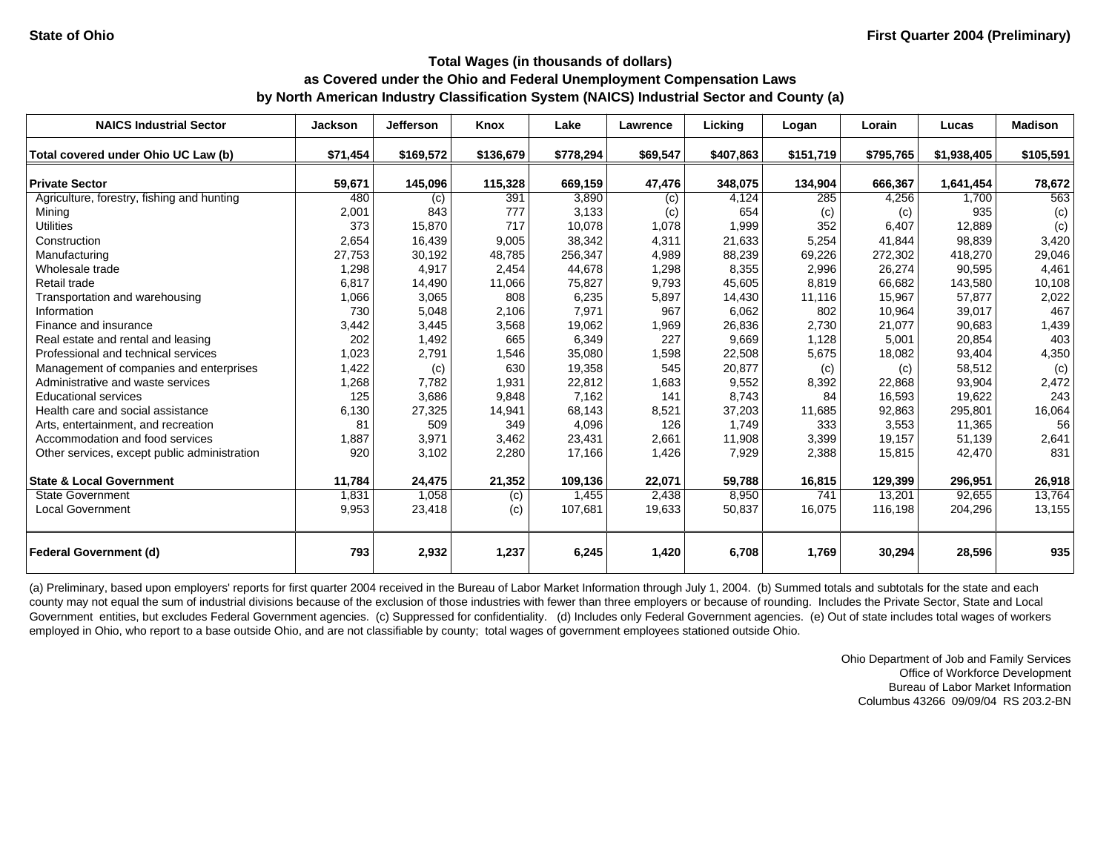| <b>NAICS Industrial Sector</b>               | <b>Jackson</b> | <b>Jefferson</b> | Knox      | Lake      | Lawrence | Lickina   | Logan     | Lorain    | Lucas       | <b>Madison</b> |
|----------------------------------------------|----------------|------------------|-----------|-----------|----------|-----------|-----------|-----------|-------------|----------------|
| Total covered under Ohio UC Law (b)          | \$71,454       | \$169,572        | \$136,679 | \$778,294 | \$69,547 | \$407,863 | \$151,719 | \$795,765 | \$1,938,405 | \$105,591      |
| <b>Private Sector</b>                        | 59,671         | 145,096          | 115,328   | 669,159   | 47,476   | 348,075   | 134,904   | 666,367   | 1,641,454   | 78,672         |
| Agriculture, forestry, fishing and hunting   | 480            | (c)              | 391       | 3,890     | (c)      | 4,124     | 285       | 4,256     | 1,700       | 563            |
| Mining                                       | 2,001          | 843              | 777       | 3,133     | (c)      | 654       | (c)       | (c)       | 935         | (c)            |
| <b>Utilities</b>                             | 373            | 15,870           | 717       | 10.078    | 1.078    | 1,999     | 352       | 6,407     | 12.889      | (c)            |
| Construction                                 | 2,654          | 16,439           | 9,005     | 38,342    | 4,311    | 21,633    | 5,254     | 41,844    | 98.839      | 3,420          |
| Manufacturing                                | 27,753         | 30,192           | 48,785    | 256,347   | 4,989    | 88,239    | 69,226    | 272,302   | 418.270     | 29,046         |
| Wholesale trade                              | 1,298          | 4,917            | 2,454     | 44,678    | 1,298    | 8,355     | 2,996     | 26,274    | 90,595      | 4,461          |
| Retail trade                                 | 6,817          | 14,490           | 11,066    | 75,827    | 9,793    | 45,605    | 8,819     | 66,682    | 143,580     | 10,108         |
| Transportation and warehousing               | 1,066          | 3,065            | 808       | 6,235     | 5,897    | 14,430    | 11,116    | 15,967    | 57,877      | 2,022          |
| Information                                  | 730            | 5,048            | 2,106     | 7,971     | 967      | 6,062     | 802       | 10,964    | 39,017      | 467            |
| Finance and insurance                        | 3,442          | 3,445            | 3,568     | 19,062    | 1,969    | 26,836    | 2,730     | 21,077    | 90,683      | 1,439          |
| Real estate and rental and leasing           | 202            | 1,492            | 665       | 6,349     | 227      | 9,669     | 1,128     | 5,001     | 20,854      | 403            |
| Professional and technical services          | 1,023          | 2,791            | 1,546     | 35,080    | 1,598    | 22,508    | 5,675     | 18,082    | 93,404      | 4,350          |
| Management of companies and enterprises      | 1,422          | (c)              | 630       | 19,358    | 545      | 20,877    | (c)       | (c)       | 58,512      | (c)            |
| Administrative and waste services            | 1,268          | 7,782            | 1,931     | 22,812    | 1,683    | 9,552     | 8,392     | 22,868    | 93,904      | 2,472          |
| <b>Educational services</b>                  | 125            | 3,686            | 9,848     | 7.162     | 141      | 8,743     | 84        | 16,593    | 19.622      | 243            |
| Health care and social assistance            | 6,130          | 27,325           | 14,941    | 68,143    | 8,521    | 37,203    | 11,685    | 92,863    | 295.801     | 16,064         |
| Arts, entertainment, and recreation          | 81             | 509              | 349       | 4,096     | 126      | 1,749     | 333       | 3,553     | 11,365      | 56             |
| Accommodation and food services              | 1,887          | 3,971            | 3,462     | 23,431    | 2,661    | 11,908    | 3,399     | 19,157    | 51,139      | 2,641          |
| Other services, except public administration | 920            | 3,102            | 2,280     | 17,166    | 1,426    | 7,929     | 2,388     | 15,815    | 42,470      | 831            |
| <b>State &amp; Local Government</b>          | 11,784         | 24,475           | 21,352    | 109,136   | 22,071   | 59,788    | 16,815    | 129,399   | 296,951     | 26,918         |
| <b>State Government</b>                      | 1,831          | 1,058            | (c)       | 1,455     | 2,438    | 8,950     | 741       | 13,201    | 92,655      | 13,764         |
| <b>Local Government</b>                      | 9,953          | 23,418           | (c)       | 107,681   | 19,633   | 50,837    | 16,075    | 116,198   | 204,296     | 13,155         |
| <b>Federal Government (d)</b>                | 793            | 2,932            | 1,237     | 6,245     | 1,420    | 6,708     | 1,769     | 30,294    | 28,596      | 935            |

(a) Preliminary, based upon employers' reports for first quarter 2004 received in the Bureau of Labor Market Information through July 1, 2004. (b) Summed totals and subtotals for the state and each county may not equal the sum of industrial divisions because of the exclusion of those industries with fewer than three employers or because of rounding. Includes the Private Sector, State and Local Government entities, but excludes Federal Government agencies. (c) Suppressed for confidentiality. (d) Includes only Federal Government agencies. (e) Out of state includes total wages of workers employed in Ohio, who report to a base outside Ohio, and are not classifiable by county; total wages of government employees stationed outside Ohio.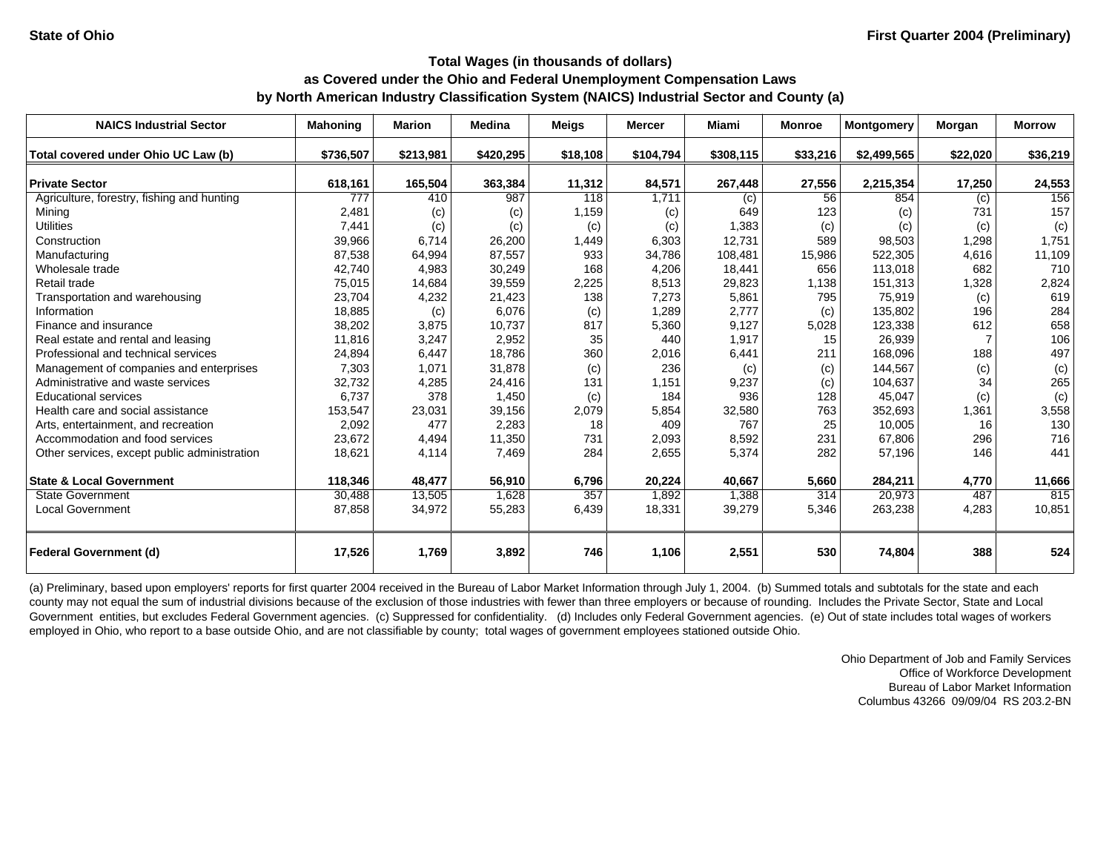| <b>NAICS Industrial Sector</b>               | <b>Mahoning</b> | <b>Marion</b> | <b>Medina</b> | <b>Meigs</b> | <b>Mercer</b> | Miami     | <b>Monroe</b> | <b>Montgomery</b> | Morgan   | <b>Morrow</b> |
|----------------------------------------------|-----------------|---------------|---------------|--------------|---------------|-----------|---------------|-------------------|----------|---------------|
| Total covered under Ohio UC Law (b)          | \$736,507       | \$213,981     | \$420,295     | \$18,108     | \$104,794     | \$308,115 | \$33,216      | \$2,499,565       | \$22,020 | \$36,219      |
| <b>Private Sector</b>                        | 618,161         | 165,504       | 363,384       | 11,312       | 84,571        | 267,448   | 27,556        | 2,215,354         | 17,250   | 24,553        |
| Agriculture, forestry, fishing and hunting   | 777             | 410           | 987           | 118          | 1,711         | (c)       | 56            | 854               | (c)      | 156           |
| Mining                                       | 2,481           | (c)           | (c)           | 1,159        | (c)           | 649       | 123           | (c)               | 731      | 157           |
| <b>Utilities</b>                             | 7,441           | (c)           | (c)           | (c)          | (c)           | 1,383     | (c)           | (c)               | (c)      | (c)           |
| Construction                                 | 39,966          | 6,714         | 26,200        | 1,449        | 6,303         | 12,731    | 589           | 98,503            | 1,298    | 1,751         |
| Manufacturing                                | 87,538          | 64,994        | 87,557        | 933          | 34,786        | 108,481   | 15,986        | 522,305           | 4,616    | 11,109        |
| Wholesale trade                              | 42,740          | 4,983         | 30,249        | 168          | 4,206         | 18,441    | 656           | 113,018           | 682      | 710           |
| Retail trade                                 | 75,015          | 14,684        | 39,559        | 2,225        | 8,513         | 29,823    | 1,138         | 151,313           | 1,328    | 2,824         |
| Transportation and warehousing               | 23,704          | 4,232         | 21,423        | 138          | 7,273         | 5,861     | 795           | 75,919            | (c)      | 619           |
| Information                                  | 18,885          | (c)           | 6,076         | (c)          | 1,289         | 2,777     | (c)           | 135,802           | 196      | 284           |
| Finance and insurance                        | 38,202          | 3,875         | 10,737        | 817          | 5,360         | 9,127     | 5,028         | 123,338           | 612      | 658           |
| Real estate and rental and leasing           | 11,816          | 3,247         | 2,952         | 35           | 440           | 1,917     | 15            | 26,939            |          | 106           |
| Professional and technical services          | 24,894          | 6,447         | 18,786        | 360          | 2,016         | 6,441     | 211           | 168,096           | 188      | 497           |
| Management of companies and enterprises      | 7,303           | 1,071         | 31,878        | (c)          | 236           | (c)       | (c)           | 144,567           | (c)      | (c)           |
| Administrative and waste services            | 32,732          | 4,285         | 24,416        | 131          | 1,151         | 9,237     | (c)           | 104,637           | 34       | 265           |
| <b>Educational services</b>                  | 6,737           | 378           | 1,450         | (c)          | 184           | 936       | 128           | 45,047            | (c)      | (c)           |
| Health care and social assistance            | 153,547         | 23,031        | 39,156        | 2,079        | 5,854         | 32,580    | 763           | 352,693           | 1,361    | 3,558         |
| Arts, entertainment, and recreation          | 2,092           | 477           | 2,283         | 18           | 409           | 767       | 25            | 10,005            | 16       | 130           |
| Accommodation and food services              | 23,672          | 4,494         | 11,350        | 731          | 2,093         | 8,592     | 231           | 67,806            | 296      | 716           |
| Other services, except public administration | 18,621          | 4,114         | 7,469         | 284          | 2,655         | 5,374     | 282           | 57,196            | 146      | 441           |
| <b>State &amp; Local Government</b>          | 118,346         | 48,477        | 56,910        | 6,796        | 20,224        | 40,667    | 5,660         | 284.211           | 4,770    | 11,666        |
| <b>State Government</b>                      | 30,488          | 13,505        | 1,628         | 357          | 1,892         | 1,388     | 314           | 20,973            | 487      | 815           |
| <b>Local Government</b>                      | 87,858          | 34,972        | 55,283        | 6,439        | 18,331        | 39,279    | 5,346         | 263,238           | 4,283    | 10,851        |
| <b>Federal Government (d)</b>                | 17,526          | 1,769         | 3,892         | 746          | 1,106         | 2,551     | 530           | 74,804            | 388      | 524           |

(a) Preliminary, based upon employers' reports for first quarter 2004 received in the Bureau of Labor Market Information through July 1, 2004. (b) Summed totals and subtotals for the state and each county may not equal the sum of industrial divisions because of the exclusion of those industries with fewer than three employers or because of rounding. Includes the Private Sector, State and Local Government entities, but excludes Federal Government agencies. (c) Suppressed for confidentiality. (d) Includes only Federal Government agencies. (e) Out of state includes total wages of workers employed in Ohio, who report to a base outside Ohio, and are not classifiable by county; total wages of government employees stationed outside Ohio.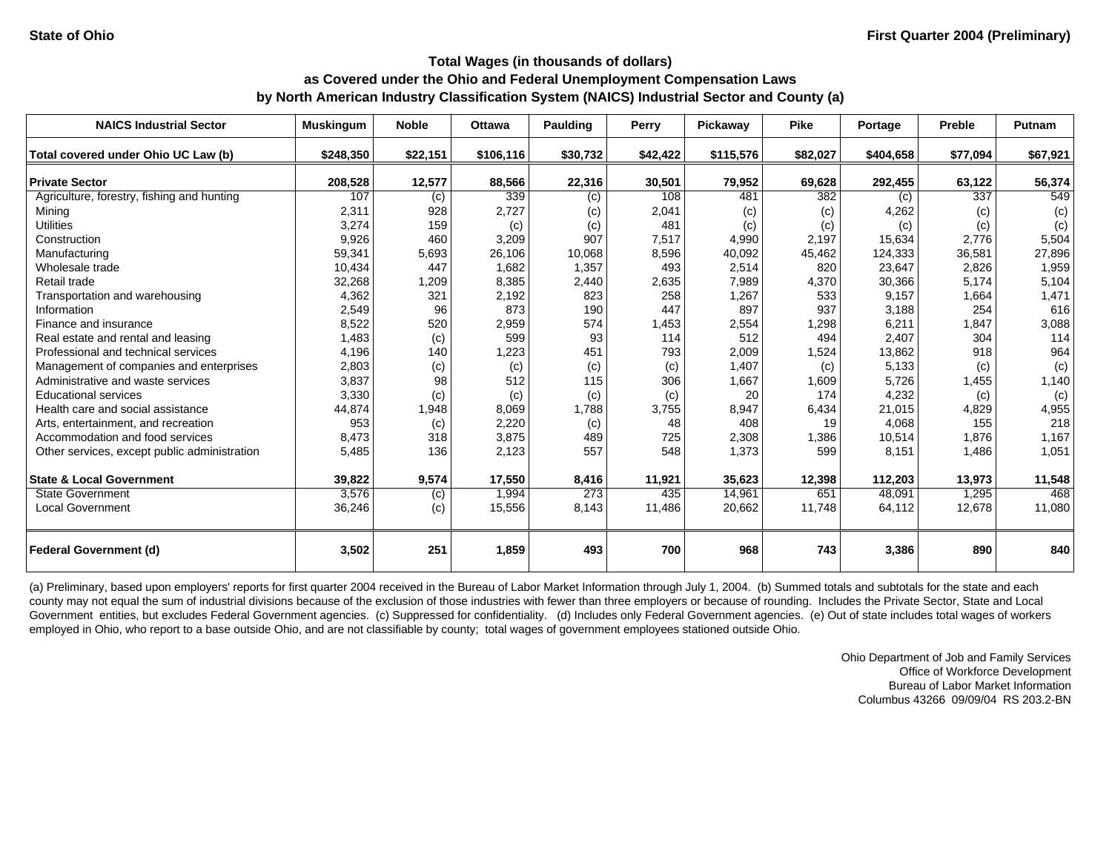| <b>NAICS Industrial Sector</b>               | <b>Muskingum</b> | <b>Noble</b> | <b>Ottawa</b> | <b>Paulding</b> | Perry    | Pickaway  | <b>Pike</b> | Portage   | Preble   | <b>Putnam</b> |
|----------------------------------------------|------------------|--------------|---------------|-----------------|----------|-----------|-------------|-----------|----------|---------------|
| Total covered under Ohio UC Law (b)          | \$248,350        | \$22,151     | \$106,116     | \$30,732        | \$42,422 | \$115,576 | \$82,027    | \$404,658 | \$77,094 | \$67,921      |
| <b>Private Sector</b>                        | 208,528          | 12,577       | 88,566        | 22,316          | 30,501   | 79,952    | 69,628      | 292,455   | 63,122   | 56,374        |
| Agriculture, forestry, fishing and hunting   | 107              | (c)          | 339           | (c)             | 108      | 481       | 382         | (c)       | 337      | 549           |
| Minina                                       | 2,311            | 928          | 2,727         | (c)             | 2,041    | (c)       | (c)         | 4,262     | (c)      | (c)           |
| <b>Utilities</b>                             | 3,274            | 159          | (c)           | (c)             | 481      | (c)       | (c)         | (c)       | (c)      | (c)           |
| Construction                                 | 9,926            | 460          | 3,209         | 907             | 7,517    | 4,990     | 2,197       | 15,634    | 2,776    | 5,504         |
| Manufacturing                                | 59,341           | 5,693        | 26,106        | 10,068          | 8,596    | 40,092    | 45,462      | 124,333   | 36,581   | 27,896        |
| Wholesale trade                              | 10,434           | 447          | 1,682         | 1,357           | 493      | 2,514     | 820         | 23,647    | 2,826    | 1,959         |
| Retail trade                                 | 32,268           | 1,209        | 8,385         | 2,440           | 2,635    | 7,989     | 4,370       | 30,366    | 5.174    | 5,104         |
| Transportation and warehousing               | 4,362            | 321          | 2,192         | 823             | 258      | 1,267     | 533         | 9,157     | 1,664    | 1,471         |
| Information                                  | 2,549            | 96           | 873           | 190             | 447      | 897       | 937         | 3,188     | 254      | 616           |
| Finance and insurance                        | 8,522            | 520          | 2,959         | 574             | 1,453    | 2,554     | 1,298       | 6,211     | 1,847    | 3,088         |
| Real estate and rental and leasing           | 1,483            | (c)          | 599           | 93              | 114      | 512       | 494         | 2,407     | 304      | 114           |
| Professional and technical services          | 4,196            | 140          | 1,223         | 451             | 793      | 2,009     | 1,524       | 13,862    | 918      | 964           |
| Management of companies and enterprises      | 2,803            | (c)          | (c)           | (c)             | (c)      | 1,407     | (c)         | 5,133     | (c)      | (c)           |
| Administrative and waste services            | 3,837            | 98           | 512           | 115             | 306      | 1,667     | 1,609       | 5,726     | 1,455    | 1,140         |
| <b>Educational services</b>                  | 3,330            | (c)          | (c)           | (c)             | (c)      | 20        | 174         | 4,232     | (c)      | (c)           |
| Health care and social assistance            | 44,874           | 1,948        | 8,069         | 1,788           | 3,755    | 8,947     | 6,434       | 21,015    | 4,829    | 4,955         |
| Arts, entertainment, and recreation          | 953              | (c)          | 2,220         | (c)             | 48       | 408       | 19          | 4,068     | 155      | 218           |
| Accommodation and food services              | 8,473            | 318          | 3,875         | 489             | 725      | 2,308     | 1,386       | 10,514    | 1,876    | 1,167         |
| Other services, except public administration | 5,485            | 136          | 2,123         | 557             | 548      | 1,373     | 599         | 8,151     | 1,486    | 1,051         |
| <b>State &amp; Local Government</b>          | 39,822           | 9,574        | 17,550        | 8,416           | 11,921   | 35,623    | 12,398      | 112,203   | 13,973   | 11,548        |
| <b>State Government</b>                      | 3,576            | (c)          | 1,994         | 273             | 435      | 14,961    | 651         | 48.091    | 1.295    | 468           |
| <b>Local Government</b>                      | 36,246           | (c)          | 15,556        | 8,143           | 11,486   | 20,662    | 11,748      | 64,112    | 12,678   | 11,080        |
| <b>Federal Government (d)</b>                | 3,502            | 251          | 1,859         | 493             | 700      | 968       | 743         | 3,386     | 890      | 840           |

(a) Preliminary, based upon employers' reports for first quarter 2004 received in the Bureau of Labor Market Information through July 1, 2004. (b) Summed totals and subtotals for the state and each county may not equal the sum of industrial divisions because of the exclusion of those industries with fewer than three employers or because of rounding. Includes the Private Sector, State and Local Government entities, but excludes Federal Government agencies. (c) Suppressed for confidentiality. (d) Includes only Federal Government agencies. (e) Out of state includes total wages of workers employed in Ohio, who report to a base outside Ohio, and are not classifiable by county; total wages of government employees stationed outside Ohio.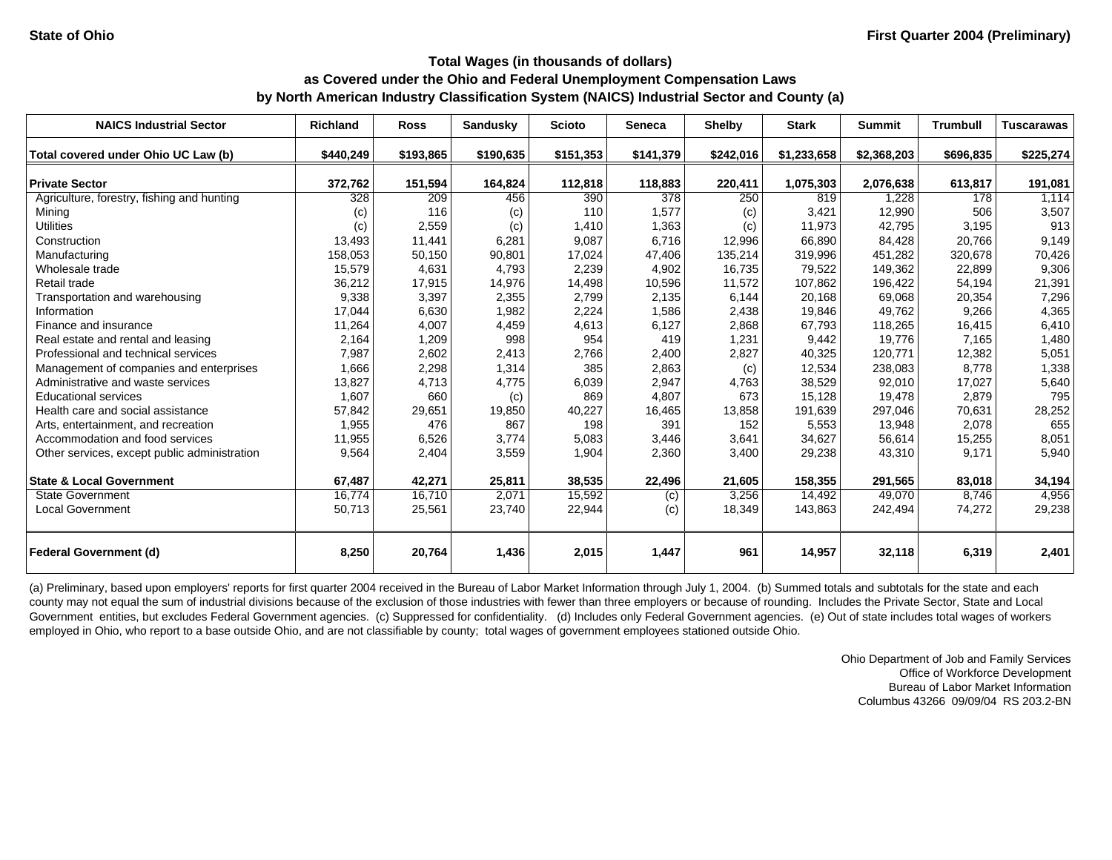| <b>NAICS Industrial Sector</b>               | <b>Richland</b> | <b>Ross</b> | Sandusky       | <b>Scioto</b> | <b>Seneca</b>  | <b>Shelby</b> | <b>Stark</b> | <b>Summit</b> | <b>Trumbull</b> | <b>Tuscarawas</b> |
|----------------------------------------------|-----------------|-------------|----------------|---------------|----------------|---------------|--------------|---------------|-----------------|-------------------|
| Total covered under Ohio UC Law (b)          | \$440,249       | \$193,865   | \$190,635      | \$151,353     | \$141,379      | \$242,016     | \$1,233,658  | \$2,368,203   | \$696,835       | \$225,274         |
|                                              |                 |             |                |               |                |               |              |               |                 |                   |
| <b>Private Sector</b>                        | 372,762         | 151,594     | 164,824<br>456 | 112,818       | 118,883<br>378 | 220,411       | 1,075,303    | 2,076,638     | 613,817         | 191,081           |
| Agriculture, forestry, fishing and hunting   | 328             | 209<br>116  |                | 390           |                | 250           | 819          | 1,228         | 178             | 1,114             |
| Mining                                       | (c)             |             | (c)            | 110           | 1,577          | (c)           | 3.421        | 12,990        | 506             | 3,507<br>913      |
| <b>Utilities</b>                             | (c)             | 2,559       | (c)            | 1,410         | 1,363          | (c)           | 11,973       | 42.795        | 3.195           |                   |
| Construction                                 | 13,493          | 11,441      | 6,281          | 9,087         | 6,716          | 12,996        | 66,890       | 84,428        | 20.766          | 9,149             |
| Manufacturing                                | 158,053         | 50,150      | 90,801         | 17,024        | 47,406         | 135,214       | 319,996      | 451,282       | 320,678         | 70,426            |
| Wholesale trade                              | 15,579          | 4,631       | 4,793          | 2,239         | 4,902          | 16,735        | 79,522       | 149,362       | 22,899          | 9,306             |
| Retail trade                                 | 36,212          | 17,915      | 14,976         | 14,498        | 10,596         | 11,572        | 107,862      | 196,422       | 54,194          | 21,391            |
| Transportation and warehousing               | 9,338           | 3,397       | 2,355          | 2,799         | 2,135          | 6,144         | 20,168       | 69,068        | 20,354          | 7,296             |
| Information                                  | 17,044          | 6,630       | 1,982          | 2,224         | 1,586          | 2,438         | 19,846       | 49,762        | 9,266           | 4,365             |
| Finance and insurance                        | 11,264          | 4,007       | 4,459          | 4,613         | 6,127          | 2,868         | 67,793       | 118,265       | 16,415          | 6,410             |
| Real estate and rental and leasing           | 2,164           | 1,209       | 998            | 954           | 419            | 1,231         | 9,442        | 19,776        | 7,165           | 1,480             |
| Professional and technical services          | 7,987           | 2,602       | 2,413          | 2,766         | 2,400          | 2,827         | 40,325       | 120,771       | 12,382          | 5,051             |
| Management of companies and enterprises      | 1,666           | 2,298       | 1,314          | 385           | 2,863          | (c)           | 12,534       | 238,083       | 8,778           | 1,338             |
| Administrative and waste services            | 13,827          | 4,713       | 4,775          | 6,039         | 2,947          | 4,763         | 38,529       | 92,010        | 17,027          | 5,640             |
| <b>Educational services</b>                  | 1,607           | 660         | (c)            | 869           | 4,807          | 673           | 15,128       | 19,478        | 2.879           | 795               |
| Health care and social assistance            | 57,842          | 29,651      | 19,850         | 40,227        | 16,465         | 13,858        | 191,639      | 297,046       | 70.631          | 28,252            |
| Arts, entertainment, and recreation          | 1,955           | 476         | 867            | 198           | 391            | 152           | 5,553        | 13,948        | 2,078           | 655               |
| Accommodation and food services              | 11,955          | 6,526       | 3,774          | 5,083         | 3,446          | 3,641         | 34,627       | 56,614        | 15,255          | 8,051             |
| Other services, except public administration | 9,564           | 2,404       | 3,559          | 1,904         | 2,360          | 3,400         | 29,238       | 43,310        | 9,171           | 5,940             |
| <b>State &amp; Local Government</b>          | 67,487          | 42,271      | 25,811         | 38,535        | 22,496         | 21,605        | 158,355      | 291,565       | 83,018          | 34,194            |
| <b>State Government</b>                      | 16,774          | 16,710      | 2,071          | 15,592        | (c)            | 3,256         | 14,492       | 49,070        | 8.746           | 4,956             |
| <b>Local Government</b>                      | 50,713          | 25,561      | 23,740         | 22,944        | (c)            | 18,349        | 143,863      | 242,494       | 74,272          | 29,238            |
| <b>Federal Government (d)</b>                | 8,250           | 20,764      | 1,436          | 2,015         | 1,447          | 961           | 14,957       | 32,118        | 6,319           | 2,401             |

(a) Preliminary, based upon employers' reports for first quarter 2004 received in the Bureau of Labor Market Information through July 1, 2004. (b) Summed totals and subtotals for the state and each county may not equal the sum of industrial divisions because of the exclusion of those industries with fewer than three employers or because of rounding. Includes the Private Sector, State and Local Government entities, but excludes Federal Government agencies. (c) Suppressed for confidentiality. (d) Includes only Federal Government agencies. (e) Out of state includes total wages of workers employed in Ohio, who report to a base outside Ohio, and are not classifiable by county; total wages of government employees stationed outside Ohio.